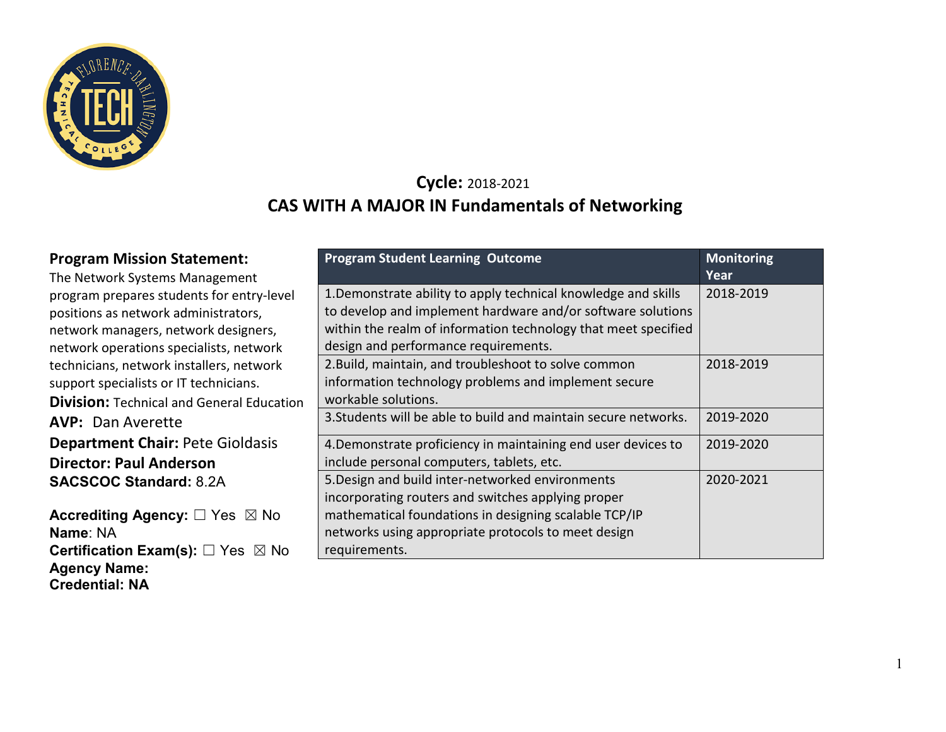

**Agency Name: Credential: NA**

## **Cycle:** 2018-2021 **CAS WITH A MAJOR IN Fundamentals of Networking**

| <b>Program Mission Statement:</b><br>The Network Systems Management                                                                                                  | <b>Program Student Learning Outcome</b>                                                                                                                                                                                                 | <b>Monitoring</b><br>Year |
|----------------------------------------------------------------------------------------------------------------------------------------------------------------------|-----------------------------------------------------------------------------------------------------------------------------------------------------------------------------------------------------------------------------------------|---------------------------|
| program prepares students for entry-level<br>positions as network administrators,<br>network managers, network designers,<br>network operations specialists, network | 1. Demonstrate ability to apply technical knowledge and skills<br>to develop and implement hardware and/or software solutions<br>within the realm of information technology that meet specified<br>design and performance requirements. | 2018-2019                 |
| technicians, network installers, network<br>support specialists or IT technicians.<br><b>Division:</b> Technical and General Education                               | 2. Build, maintain, and troubleshoot to solve common<br>information technology problems and implement secure<br>workable solutions.                                                                                                     | 2018-2019                 |
| <b>AVP: Dan Averette</b>                                                                                                                                             | 3. Students will be able to build and maintain secure networks.                                                                                                                                                                         | 2019-2020                 |
| <b>Department Chair: Pete Gioldasis</b>                                                                                                                              | 4. Demonstrate proficiency in maintaining end user devices to                                                                                                                                                                           | 2019-2020                 |
| <b>Director: Paul Anderson</b>                                                                                                                                       | include personal computers, tablets, etc.                                                                                                                                                                                               |                           |
| <b>SACSCOC Standard: 8.2A</b>                                                                                                                                        | 5. Design and build inter-networked environments<br>incorporating routers and switches applying proper                                                                                                                                  | 2020-2021                 |
| Accrediting Agency: □ Yes ⊠ No<br>Name: NA                                                                                                                           | mathematical foundations in designing scalable TCP/IP<br>networks using appropriate protocols to meet design                                                                                                                            |                           |
| <b>Certification Exam(s):</b> $\Box$ Yes $\boxtimes$ No                                                                                                              | requirements.                                                                                                                                                                                                                           |                           |

1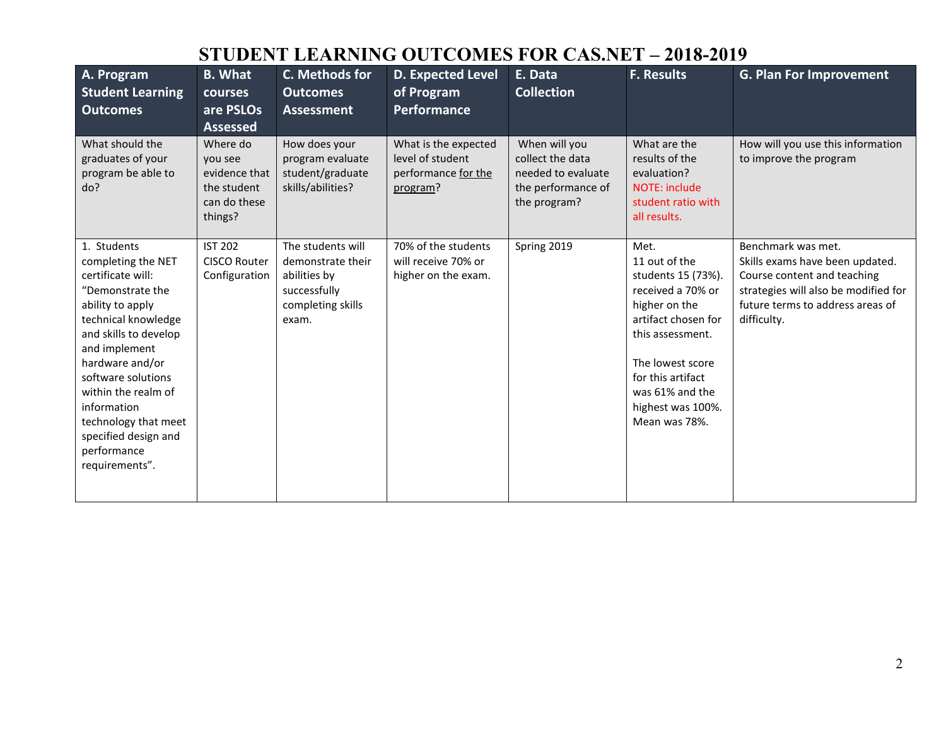## **STUDENT LEARNING OUTCOMES FOR CAS.NET – 2018-2019**

| A. Program<br><b>Student Learning</b><br><b>Outcomes</b>                                                                                                                                                                                                                                                                        | <b>B.</b> What<br>courses<br>are PSLOs<br><b>Assessed</b>                      | C. Methods for<br><b>Outcomes</b><br><b>Assessment</b>                                               | <b>D. Expected Level</b><br>of Program<br><b>Performance</b>                | E. Data<br><b>Collection</b>                                                                  | <b>F. Results</b>                                                                                                                                                                                                              | <b>G. Plan For Improvement</b>                                                                                                                                                  |
|---------------------------------------------------------------------------------------------------------------------------------------------------------------------------------------------------------------------------------------------------------------------------------------------------------------------------------|--------------------------------------------------------------------------------|------------------------------------------------------------------------------------------------------|-----------------------------------------------------------------------------|-----------------------------------------------------------------------------------------------|--------------------------------------------------------------------------------------------------------------------------------------------------------------------------------------------------------------------------------|---------------------------------------------------------------------------------------------------------------------------------------------------------------------------------|
| What should the<br>graduates of your<br>program be able to<br>do?                                                                                                                                                                                                                                                               | Where do<br>vou see<br>evidence that<br>the student<br>can do these<br>things? | How does your<br>program evaluate<br>student/graduate<br>skills/abilities?                           | What is the expected<br>level of student<br>performance for the<br>program? | When will you<br>collect the data<br>needed to evaluate<br>the performance of<br>the program? | What are the<br>results of the<br>evaluation?<br><b>NOTE: include</b><br>student ratio with<br>all results.                                                                                                                    | How will you use this information<br>to improve the program                                                                                                                     |
| 1. Students<br>completing the NET<br>certificate will:<br>"Demonstrate the<br>ability to apply<br>technical knowledge<br>and skills to develop<br>and implement<br>hardware and/or<br>software solutions<br>within the realm of<br>information<br>technology that meet<br>specified design and<br>performance<br>requirements". | <b>IST 202</b><br><b>CISCO Router</b><br>Configuration                         | The students will<br>demonstrate their<br>abilities by<br>successfully<br>completing skills<br>exam. | 70% of the students<br>will receive 70% or<br>higher on the exam.           | Spring 2019                                                                                   | Met.<br>11 out of the<br>students 15 (73%).<br>received a 70% or<br>higher on the<br>artifact chosen for<br>this assessment.<br>The lowest score<br>for this artifact<br>was 61% and the<br>highest was 100%.<br>Mean was 78%. | Benchmark was met.<br>Skills exams have been updated.<br>Course content and teaching<br>strategies will also be modified for<br>future terms to address areas of<br>difficulty. |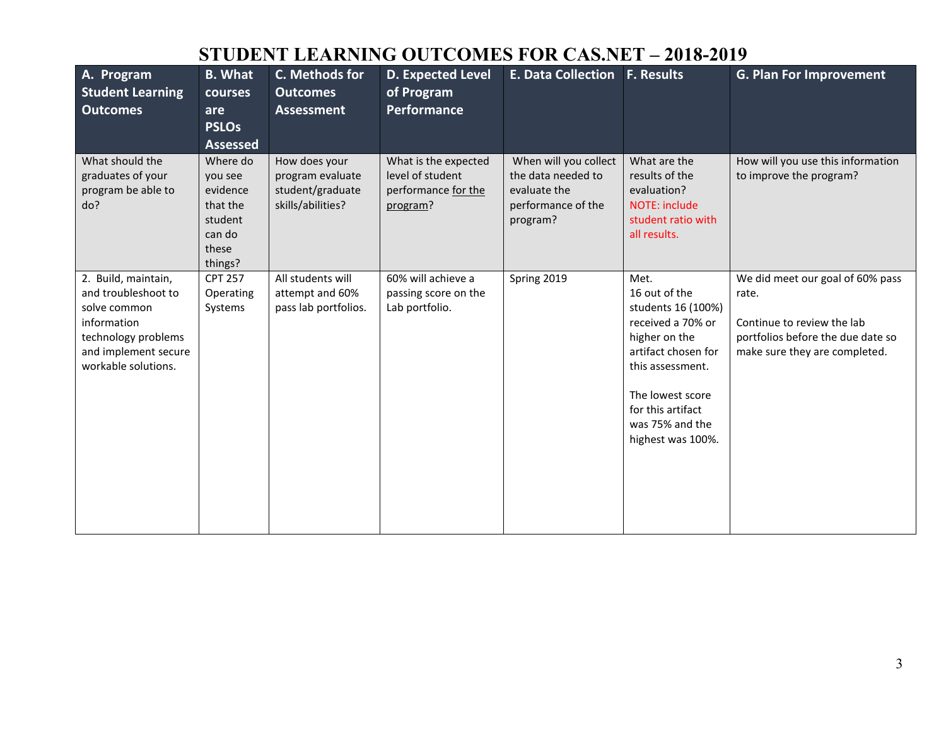# **STUDENT LEARNING OUTCOMES FOR CAS.NET – 2018-2019**

| A. Program<br><b>Student Learning</b><br><b>Outcomes</b>                                                                                        | <b>B.</b> What<br>courses<br>are<br><b>PSLOs</b><br><b>Assessed</b>                  | C. Methods for<br><b>Outcomes</b><br><b>Assessment</b>                     | <b>D. Expected Level</b><br>of Program<br>Performance                       | <b>E. Data Collection</b>                                                                     | <b>F. Results</b>                                                                                                                                                                                             | <b>G. Plan For Improvement</b>                                                                                                                |
|-------------------------------------------------------------------------------------------------------------------------------------------------|--------------------------------------------------------------------------------------|----------------------------------------------------------------------------|-----------------------------------------------------------------------------|-----------------------------------------------------------------------------------------------|---------------------------------------------------------------------------------------------------------------------------------------------------------------------------------------------------------------|-----------------------------------------------------------------------------------------------------------------------------------------------|
| What should the<br>graduates of your<br>program be able to<br>do?                                                                               | Where do<br>you see<br>evidence<br>that the<br>student<br>can do<br>these<br>things? | How does your<br>program evaluate<br>student/graduate<br>skills/abilities? | What is the expected<br>level of student<br>performance for the<br>program? | When will you collect<br>the data needed to<br>evaluate the<br>performance of the<br>program? | What are the<br>results of the<br>evaluation?<br><b>NOTE: include</b><br>student ratio with<br>all results.                                                                                                   | How will you use this information<br>to improve the program?                                                                                  |
| 2. Build, maintain,<br>and troubleshoot to<br>solve common<br>information<br>technology problems<br>and implement secure<br>workable solutions. | <b>CPT 257</b><br>Operating<br>Systems                                               | All students will<br>attempt and 60%<br>pass lab portfolios.               | 60% will achieve a<br>passing score on the<br>Lab portfolio.                | Spring 2019                                                                                   | Met.<br>16 out of the<br>students 16 (100%)<br>received a 70% or<br>higher on the<br>artifact chosen for<br>this assessment.<br>The lowest score<br>for this artifact<br>was 75% and the<br>highest was 100%. | We did meet our goal of 60% pass<br>rate.<br>Continue to review the lab<br>portfolios before the due date so<br>make sure they are completed. |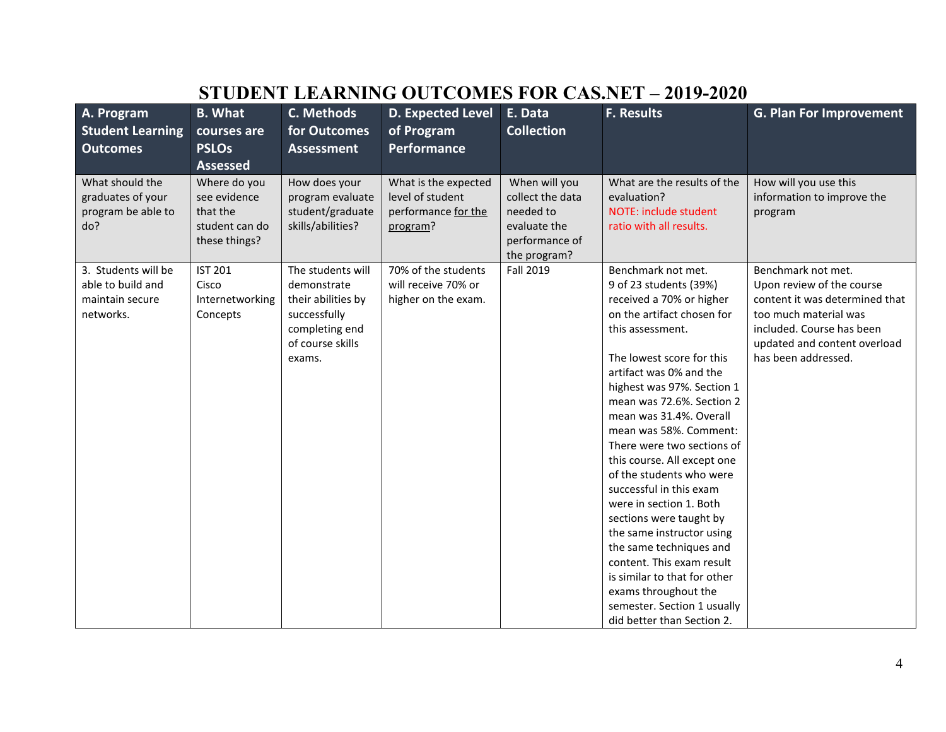|                                                                   |                                                                             |                                                                            |                                                                             |                                                                                                  | STUDENT LEARNING OUTCOMES FOR CAS.NET – 2019-2020                                              |                                                                |
|-------------------------------------------------------------------|-----------------------------------------------------------------------------|----------------------------------------------------------------------------|-----------------------------------------------------------------------------|--------------------------------------------------------------------------------------------------|------------------------------------------------------------------------------------------------|----------------------------------------------------------------|
| A. Program<br><b>Student Learning</b>                             | <b>B. What</b><br>courses are                                               | C. Methods<br>for Outcomes                                                 | <b>D. Expected Level</b><br>of Program                                      | E. Data<br><b>Collection</b>                                                                     | <b>F. Results</b>                                                                              | <b>G. Plan For Improvement</b>                                 |
| <b>Outcomes</b>                                                   | <b>PSLOs</b>                                                                | <b>Assessment</b>                                                          | <b>Performance</b>                                                          |                                                                                                  |                                                                                                |                                                                |
|                                                                   | <b>Assessed</b>                                                             |                                                                            |                                                                             |                                                                                                  |                                                                                                |                                                                |
| What should the<br>graduates of your<br>program be able to<br>do? | Where do you<br>see evidence<br>that the<br>student can do<br>these things? | How does your<br>program evaluate<br>student/graduate<br>skills/abilities? | What is the expected<br>level of student<br>performance for the<br>program? | When will you<br>collect the data<br>needed to<br>evaluate the<br>performance of<br>the program? | What are the results of the<br>evaluation?<br>NOTE: include student<br>ratio with all results. | How will you use this<br>information to improve the<br>program |
| 3. Students will be                                               | <b>IST 201</b>                                                              | The students will                                                          | 70% of the students                                                         | Fall 2019                                                                                        | Benchmark not met.                                                                             | Benchmark not met.                                             |
| able to build and                                                 | Cisco                                                                       | demonstrate                                                                | will receive 70% or                                                         |                                                                                                  | 9 of 23 students (39%)                                                                         | Upon review of the course                                      |
| maintain secure                                                   | Internetworking                                                             | their abilities by                                                         | higher on the exam.                                                         |                                                                                                  | received a 70% or higher                                                                       | content it was determined that                                 |
| networks.                                                         | Concepts                                                                    | successfully                                                               |                                                                             |                                                                                                  | on the artifact chosen for                                                                     | too much material was                                          |
|                                                                   |                                                                             | completing end                                                             |                                                                             |                                                                                                  | this assessment.                                                                               | included. Course has been                                      |
|                                                                   |                                                                             | of course skills                                                           |                                                                             |                                                                                                  |                                                                                                | updated and content overload                                   |
|                                                                   |                                                                             | exams.                                                                     |                                                                             |                                                                                                  | The lowest score for this                                                                      | has been addressed.                                            |
|                                                                   |                                                                             |                                                                            |                                                                             |                                                                                                  | artifact was 0% and the                                                                        |                                                                |
|                                                                   |                                                                             |                                                                            |                                                                             |                                                                                                  | highest was 97%. Section 1                                                                     |                                                                |
|                                                                   |                                                                             |                                                                            |                                                                             |                                                                                                  | mean was 72.6%. Section 2<br>mean was 31.4%. Overall                                           |                                                                |
|                                                                   |                                                                             |                                                                            |                                                                             |                                                                                                  | mean was 58%. Comment:                                                                         |                                                                |
|                                                                   |                                                                             |                                                                            |                                                                             |                                                                                                  | There were two sections of                                                                     |                                                                |
|                                                                   |                                                                             |                                                                            |                                                                             |                                                                                                  | this course. All except one                                                                    |                                                                |
|                                                                   |                                                                             |                                                                            |                                                                             |                                                                                                  | of the students who were                                                                       |                                                                |
|                                                                   |                                                                             |                                                                            |                                                                             |                                                                                                  | successful in this exam                                                                        |                                                                |
|                                                                   |                                                                             |                                                                            |                                                                             |                                                                                                  | were in section 1. Both                                                                        |                                                                |
|                                                                   |                                                                             |                                                                            |                                                                             |                                                                                                  | sections were taught by                                                                        |                                                                |
|                                                                   |                                                                             |                                                                            |                                                                             |                                                                                                  | the same instructor using                                                                      |                                                                |
|                                                                   |                                                                             |                                                                            |                                                                             |                                                                                                  | the same techniques and                                                                        |                                                                |
|                                                                   |                                                                             |                                                                            |                                                                             |                                                                                                  | content. This exam result                                                                      |                                                                |
|                                                                   |                                                                             |                                                                            |                                                                             |                                                                                                  | is similar to that for other                                                                   |                                                                |
|                                                                   |                                                                             |                                                                            |                                                                             |                                                                                                  | exams throughout the                                                                           |                                                                |
|                                                                   |                                                                             |                                                                            |                                                                             |                                                                                                  | semester. Section 1 usually                                                                    |                                                                |
|                                                                   |                                                                             |                                                                            |                                                                             |                                                                                                  | did better than Section 2.                                                                     |                                                                |

## **STUDENT LEARNING OUTCOMES FOR CAS.NET – 2019-2020**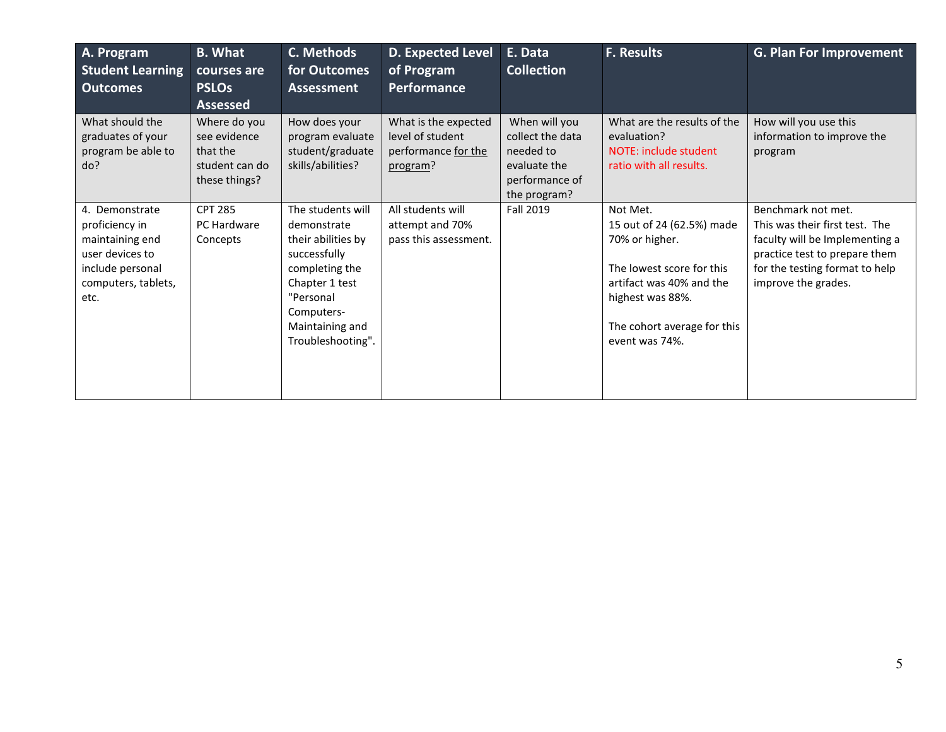| A. Program<br><b>Student Learning</b><br><b>Outcomes</b>                                                                  | <b>B. What</b><br>courses are<br><b>PSLOs</b><br><b>Assessed</b>            | C. Methods<br>for Outcomes<br>Assessment                                                                                                                                      | <b>D. Expected Level</b><br>of Program<br><b>Performance</b>                | E. Data<br><b>Collection</b>                                                                     | <b>F. Results</b>                                                                                                                                                                     | <b>G. Plan For Improvement</b>                                                                                                                                                   |
|---------------------------------------------------------------------------------------------------------------------------|-----------------------------------------------------------------------------|-------------------------------------------------------------------------------------------------------------------------------------------------------------------------------|-----------------------------------------------------------------------------|--------------------------------------------------------------------------------------------------|---------------------------------------------------------------------------------------------------------------------------------------------------------------------------------------|----------------------------------------------------------------------------------------------------------------------------------------------------------------------------------|
| What should the<br>graduates of your<br>program be able to<br>do?                                                         | Where do you<br>see evidence<br>that the<br>student can do<br>these things? | How does your<br>program evaluate<br>student/graduate<br>skills/abilities?                                                                                                    | What is the expected<br>level of student<br>performance for the<br>program? | When will you<br>collect the data<br>needed to<br>evaluate the<br>performance of<br>the program? | What are the results of the<br>evaluation?<br>NOTE: include student<br>ratio with all results.                                                                                        | How will you use this<br>information to improve the<br>program                                                                                                                   |
| 4. Demonstrate<br>proficiency in<br>maintaining end<br>user devices to<br>include personal<br>computers, tablets,<br>etc. | <b>CPT 285</b><br>PC Hardware<br>Concepts                                   | The students will<br>demonstrate<br>their abilities by<br>successfully<br>completing the<br>Chapter 1 test<br>"Personal<br>Computers-<br>Maintaining and<br>Troubleshooting". | All students will<br>attempt and 70%<br>pass this assessment.               | <b>Fall 2019</b>                                                                                 | Not Met.<br>15 out of 24 (62.5%) made<br>70% or higher.<br>The lowest score for this<br>artifact was 40% and the<br>highest was 88%.<br>The cohort average for this<br>event was 74%. | Benchmark not met.<br>This was their first test. The<br>faculty will be Implementing a<br>practice test to prepare them<br>for the testing format to help<br>improve the grades. |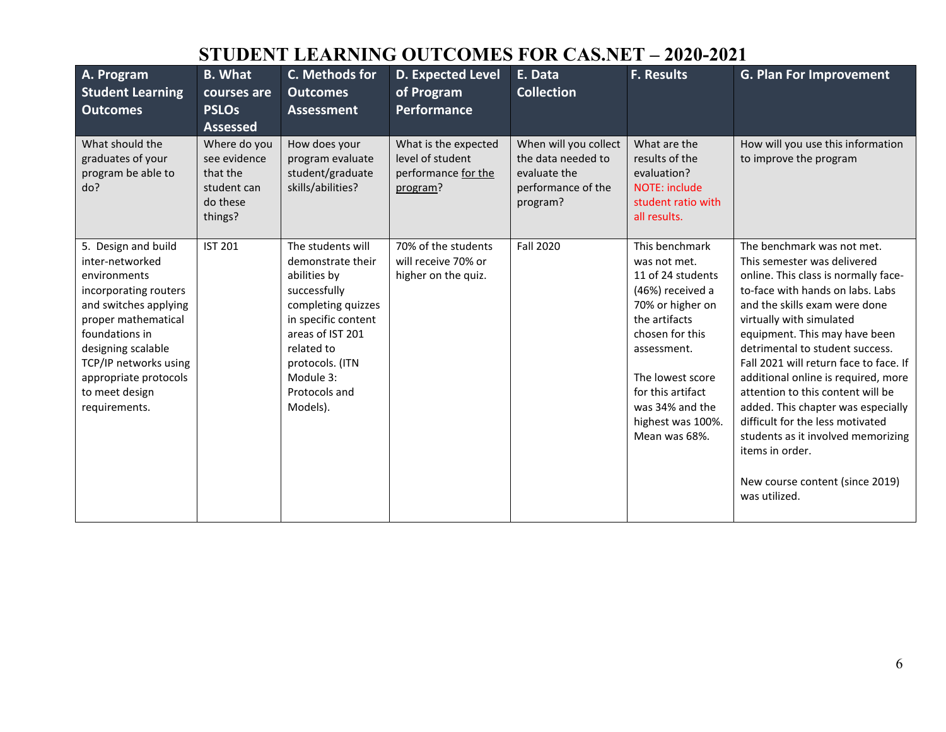# **STUDENT LEARNING OUTCOMES FOR CAS.NET – 2020-2021**

| A. Program<br><b>Student Learning</b><br><b>Outcomes</b>                                                                                                                                                                                                     | <b>B.</b> What<br>courses are<br><b>PSLOs</b><br><b>Assessed</b>               | C. Methods for<br><b>Outcomes</b><br><b>Assessment</b>                                                                                                                                                             | D. Expected Level<br>of Program<br><b>Performance</b>                       | E. Data<br><b>Collection</b>                                                                  | <b>F. Results</b>                                                                                                                                                                                                                                | <b>G. Plan For Improvement</b>                                                                                                                                                                                                                                                                                                                                                                                                                                                                                                                                                      |
|--------------------------------------------------------------------------------------------------------------------------------------------------------------------------------------------------------------------------------------------------------------|--------------------------------------------------------------------------------|--------------------------------------------------------------------------------------------------------------------------------------------------------------------------------------------------------------------|-----------------------------------------------------------------------------|-----------------------------------------------------------------------------------------------|--------------------------------------------------------------------------------------------------------------------------------------------------------------------------------------------------------------------------------------------------|-------------------------------------------------------------------------------------------------------------------------------------------------------------------------------------------------------------------------------------------------------------------------------------------------------------------------------------------------------------------------------------------------------------------------------------------------------------------------------------------------------------------------------------------------------------------------------------|
| What should the<br>graduates of your<br>program be able to<br>do?                                                                                                                                                                                            | Where do you<br>see evidence<br>that the<br>student can<br>do these<br>things? | How does your<br>program evaluate<br>student/graduate<br>skills/abilities?                                                                                                                                         | What is the expected<br>level of student<br>performance for the<br>program? | When will you collect<br>the data needed to<br>evaluate the<br>performance of the<br>program? | What are the<br>results of the<br>evaluation?<br>NOTE: include<br>student ratio with<br>all results.                                                                                                                                             | How will you use this information<br>to improve the program                                                                                                                                                                                                                                                                                                                                                                                                                                                                                                                         |
| 5. Design and build<br>inter-networked<br>environments<br>incorporating routers<br>and switches applying<br>proper mathematical<br>foundations in<br>designing scalable<br>TCP/IP networks using<br>appropriate protocols<br>to meet design<br>requirements. | <b>IST 201</b>                                                                 | The students will<br>demonstrate their<br>abilities by<br>successfully<br>completing quizzes<br>in specific content<br>areas of IST 201<br>related to<br>protocols. (ITN<br>Module 3:<br>Protocols and<br>Models). | 70% of the students<br>will receive 70% or<br>higher on the quiz.           | <b>Fall 2020</b>                                                                              | This benchmark<br>was not met.<br>11 of 24 students<br>(46%) received a<br>70% or higher on<br>the artifacts<br>chosen for this<br>assessment.<br>The lowest score<br>for this artifact<br>was 34% and the<br>highest was 100%.<br>Mean was 68%. | The benchmark was not met.<br>This semester was delivered<br>online. This class is normally face-<br>to-face with hands on labs. Labs<br>and the skills exam were done<br>virtually with simulated<br>equipment. This may have been<br>detrimental to student success.<br>Fall 2021 will return face to face. If<br>additional online is required, more<br>attention to this content will be<br>added. This chapter was especially<br>difficult for the less motivated<br>students as it involved memorizing<br>items in order.<br>New course content (since 2019)<br>was utilized. |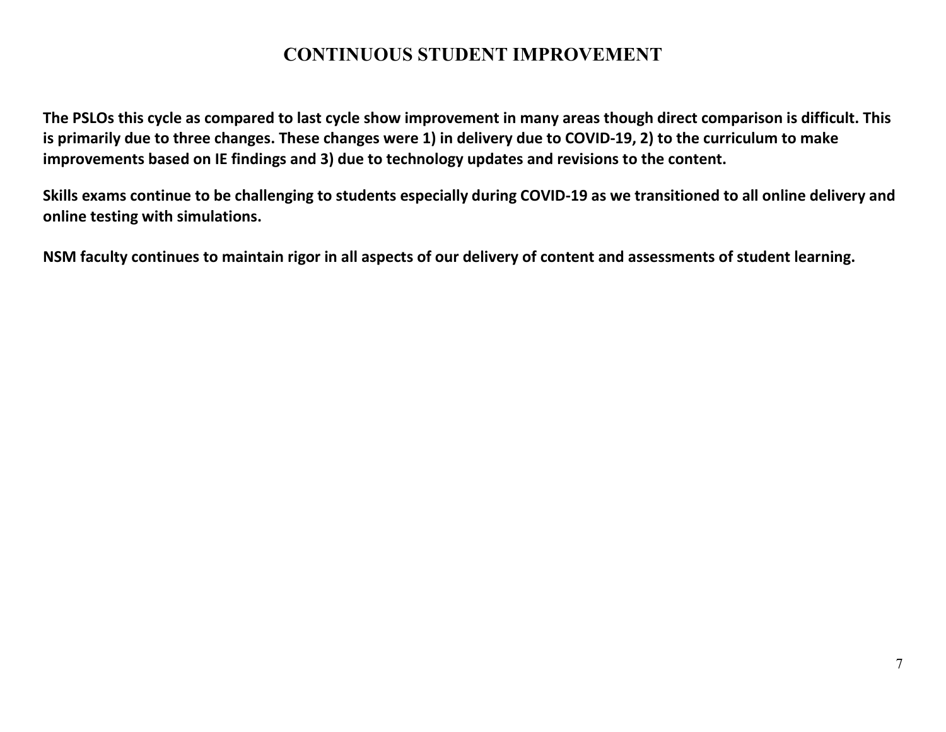### **CONTINUOUS STUDENT IMPROVEMENT**

**The PSLOs this cycle as compared to last cycle show improvement in many areas though direct comparison is difficult. This is primarily due to three changes. These changes were 1) in delivery due to COVID-19, 2) to the curriculum to make improvements based on IE findings and 3) due to technology updates and revisions to the content.** 

**Skills exams continue to be challenging to students especially during COVID-19 as we transitioned to all online delivery and online testing with simulations.** 

**NSM faculty continues to maintain rigor in all aspects of our delivery of content and assessments of student learning.**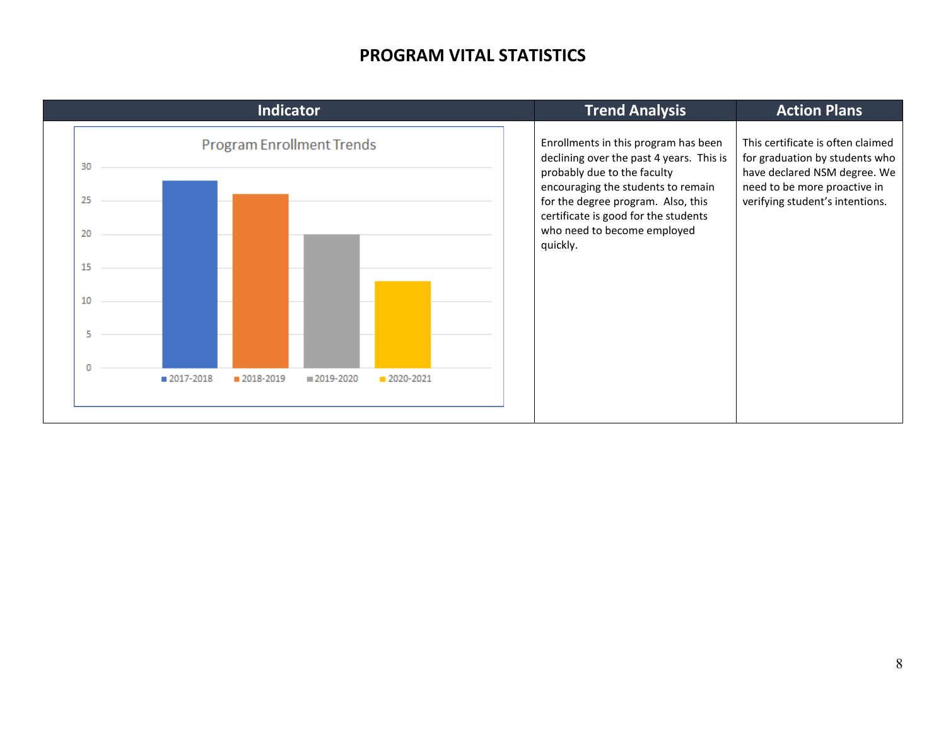#### **PROGRAM VITAL STATISTICS**

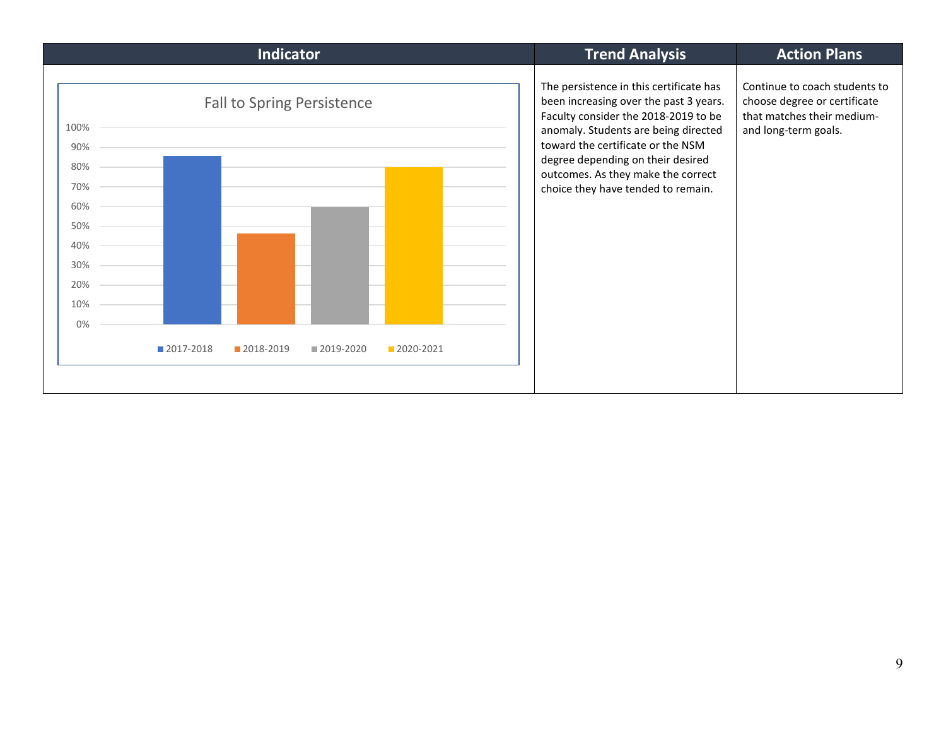| <b>Indicator</b>                                                                                  | <b>Trend Analysis</b>                                                                                                                                                                                                                                                                                                   | <b>Action Plans</b>                                                                                                 |
|---------------------------------------------------------------------------------------------------|-------------------------------------------------------------------------------------------------------------------------------------------------------------------------------------------------------------------------------------------------------------------------------------------------------------------------|---------------------------------------------------------------------------------------------------------------------|
| <b>Fall to Spring Persistence</b><br>100%<br>90%<br>80%<br>70%<br>60%<br>50%<br>40%<br>30%<br>20% | The persistence in this certificate has<br>been increasing over the past 3 years.<br>Faculty consider the 2018-2019 to be<br>anomaly. Students are being directed<br>toward the certificate or the NSM<br>degree depending on their desired<br>outcomes. As they make the correct<br>choice they have tended to remain. | Continue to coach students to<br>choose degree or certificate<br>that matches their medium-<br>and long-term goals. |
| 10%                                                                                               |                                                                                                                                                                                                                                                                                                                         |                                                                                                                     |
| 0%                                                                                                |                                                                                                                                                                                                                                                                                                                         |                                                                                                                     |
| ■ 2017-2018<br>2018-2019<br>2019-2020<br>2020-2021                                                |                                                                                                                                                                                                                                                                                                                         |                                                                                                                     |
|                                                                                                   |                                                                                                                                                                                                                                                                                                                         |                                                                                                                     |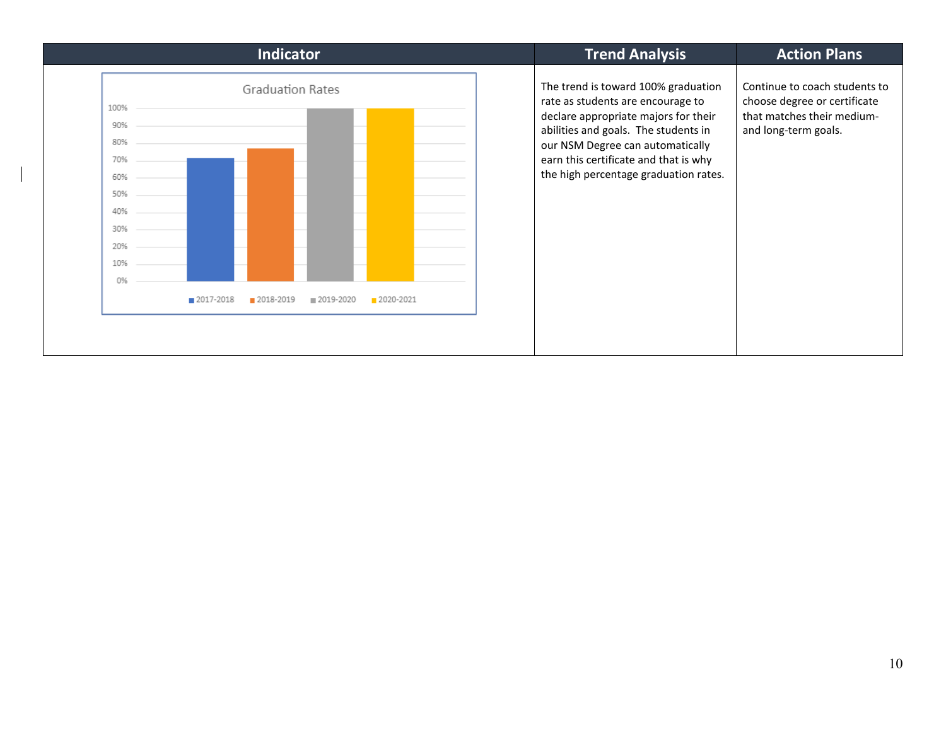